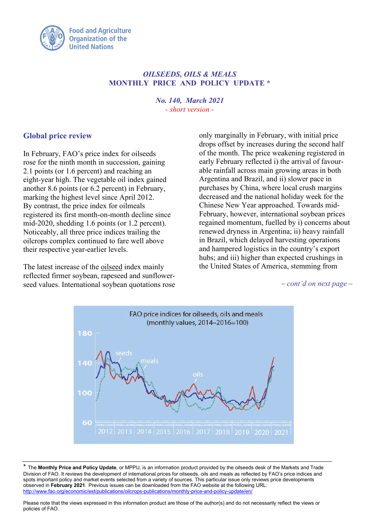

# *OILSEEDS, OILS & MEALS* **MONTHLY PRICE AND POLICY UPDATE \***

*No. 140, March 2021 - short version -*

# **Global price review**

In February, FAO's price index for oilseeds rose for the ninth month in succession, gaining 2.1 points (or 1.6 percent) and reaching an eight-year high. The vegetable oil index gained another 8.6 points (or 6.2 percent) in February, marking the highest level since April 2012. By contrast, the price index for oilmeals registered its first month-on-month decline since mid-2020, shedding 1.6 points (or 1.2 percent). Noticeably, all three price indices trailing the oilcrops complex continued to fare well above their respective year-earlier levels.

The latest increase of the oilseed index mainly reflected firmer soybean, rapeseed and sunflowerseed values. International soybean quotations rose

only marginally in February, with initial price drops offset by increases during the second half of the month. The price weakening registered in early February reflected i) the arrival of favourable rainfall across main growing areas in both Argentina and Brazil, and ii) slower pace in purchases by China, where local crush margins decreased and the national holiday week for the Chinese New Year approached. Towards mid-February, however, international soybean prices regained momentum, fuelled by i) concerns about renewed dryness in Argentina; ii) heavy rainfall in Brazil, which delayed harvesting operations and hampered logistics in the country's export hubs; and iii) higher than expected crushings in the United States of America, stemming from

*– cont'd on next page –*



<sup>\*</sup> The **Monthly Price and Policy Update**, or MPPU, is an information product provided by the oilseeds desk of the Markets and Trade Division of FAO. It reviews the development of international prices for oilseeds, oils and meals as reflected by FAO's price indices and spots important policy and market events selected from a variety of sources. This particular issue only reviews price developments observed in **February 2021**. Previous issues can be downloaded from the FAO website at the following URL: <http://www.fao.org/economic/est/publications/oilcrops-publications/monthly-price-and-policy-update/en/>

Please note that the views expressed in this information product are those of the author(s) and do not necessarily reflect the views or policies of FAO.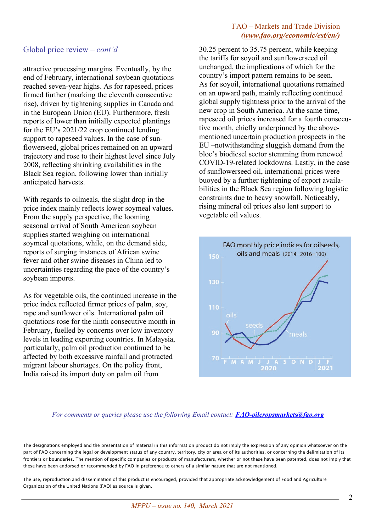### Global price review *– cont'd*

attractive processing margins. Eventually, by the end of February, international soybean quotations reached seven-year highs. As for rapeseed, prices firmed further (marking the eleventh consecutive rise), driven by tightening supplies in Canada and in the European Union (EU). Furthermore, fresh reports of lower than initially expected plantings for the EU's 2021/22 crop continued lending support to rapeseed values. In the case of sunflowerseed, global prices remained on an upward trajectory and rose to their highest level since July 2008, reflecting shrinking availabilities in the Black Sea region, following lower than initially anticipated harvests.

With regards to oilmeals, the slight drop in the price index mainly reflects lower soymeal values. From the supply perspective, the looming seasonal arrival of South American soybean supplies started weighing on international soymeal quotations, while, on the demand side, reports of surging instances of African swine fever and other swine diseases in China led to uncertainties regarding the pace of the country's soybean imports.

As for vegetable oils, the continued increase in the price index reflected firmer prices of palm, soy, rape and sunflower oils. International palm oil quotations rose for the ninth consecutive month in February, fuelled by concerns over low inventory levels in leading exporting countries. In Malaysia, particularly, palm oil production continued to be affected by both excessive rainfall and protracted migrant labour shortages. On the policy front, India raised its import duty on palm oil from

### FAO – Markets and Trade Division *[\(www.fao.org/economic/est/en/\)](http://www.fao.org/economic/est/en/)*

30.25 percent to 35.75 percent, while keeping the tariffs for soyoil and sunflowerseed oil unchanged, the implications of which for the country's import pattern remains to be seen. As for soyoil, international quotations remained on an upward path, mainly reflecting continued global supply tightness prior to the arrival of the new crop in South America. At the same time, rapeseed oil prices increased for a fourth consecutive month, chiefly underpinned by the abovementioned uncertain production prospects in the EU –notwithstanding sluggish demand from the bloc's biodiesel sector stemming from renewed COVID-19-related lockdowns. Lastly, in the case of sunflowerseed oil, international prices were buoyed by a further tightening of export availabilities in the Black Sea region following logistic constraints due to heavy snowfall. Noticeably, rising mineral oil prices also lent support to vegetable oil values.



#### *For comments or queries please use the following Email contact: [FAO-oilcropsmarkets@fao.org](mailto:FAO-oilcropsmarkets@fao.org)*

The designations employed and the presentation of material in this information product do not imply the expression of any opinion whatsoever on the part of FAO concerning the legal or development status of any country, territory, city or area or of its authorities, or concerning the delimitation of its frontiers or boundaries. The mention of specific companies or products of manufacturers, whether or not these have been patented, does not imply that these have been endorsed or recommended by FAO in preference to others of a similar nature that are not mentioned.

The use, reproduction and dissemination of this product is encouraged, provided that appropriate acknowledgement of Food and Agriculture Organization of the United Nations (FAO) as source is given.